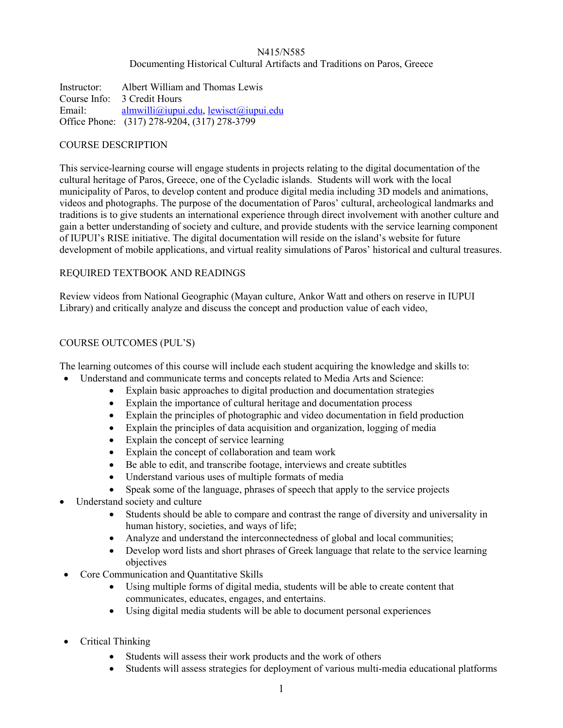## N415/N585 Documenting Historical Cultural Artifacts and Traditions on Paros, Greece

Instructor: Albert William and Thomas Lewis Course Info: 3 Credit Hours Email: [almwilli@iupui.edu,](mailto:almwilli@iupui.edu) [lewisct@iupui.edu](mailto:lewisct@iupui.edu) Office Phone: (317) 278-9204, (317) 278-3799

## COURSE DESCRIPTION

This service-learning course will engage students in projects relating to the digital documentation of the cultural heritage of Paros, Greece, one of the Cycladic islands. Students will work with the local municipality of Paros, to develop content and produce digital media including 3D models and animations, videos and photographs. The purpose of the documentation of Paros' cultural, archeological landmarks and traditions is to give students an international experience through direct involvement with another culture and gain a better understanding of society and culture, and provide students with the service learning component of IUPUI's RISE initiative. The digital documentation will reside on the island's website for future development of mobile applications, and virtual reality simulations of Paros' historical and cultural treasures.

## REQUIRED TEXTBOOK AND READINGS

Review videos from National Geographic (Mayan culture, Ankor Watt and others on reserve in IUPUI Library) and critically analyze and discuss the concept and production value of each video,

## COURSE OUTCOMES (PUL'S)

The learning outcomes of this course will include each student acquiring the knowledge and skills to:

- Understand and communicate terms and concepts related to Media Arts and Science:
	- Explain basic approaches to digital production and documentation strategies
	- Explain the importance of cultural heritage and documentation process
	- Explain the principles of photographic and video documentation in field production
	- Explain the principles of data acquisition and organization, logging of media
	- Explain the concept of service learning
	- Explain the concept of collaboration and team work
	- Be able to edit, and transcribe footage, interviews and create subtitles
	- Understand various uses of multiple formats of media
	- Speak some of the language, phrases of speech that apply to the service projects
- Understand society and culture
	- Students should be able to compare and contrast the range of diversity and universality in human history, societies, and ways of life;
	- Analyze and understand the interconnectedness of global and local communities;
	- Develop word lists and short phrases of Greek language that relate to the service learning objectives
- Core Communication and Quantitative Skills
	- Using multiple forms of digital media, students will be able to create content that communicates, educates, engages, and entertains.
	- Using digital media students will be able to document personal experiences
- Critical Thinking
	- Students will assess their work products and the work of others
	- Students will assess strategies for deployment of various multi-media educational platforms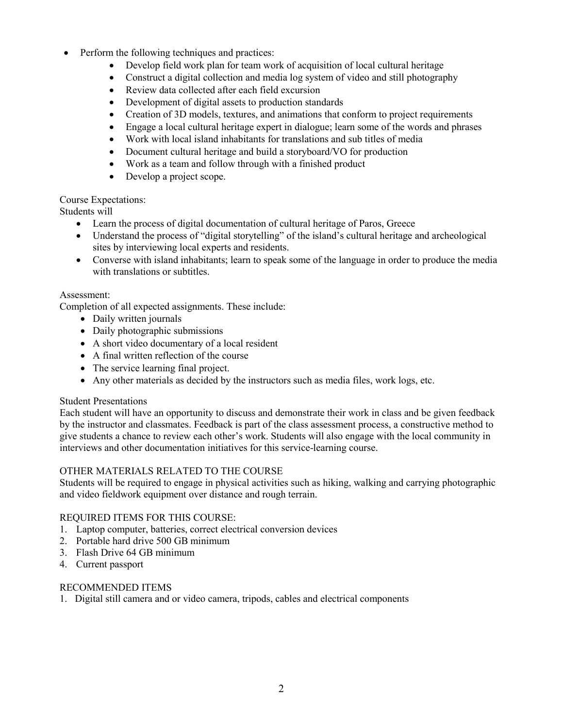- Perform the following techniques and practices:
	- Develop field work plan for team work of acquisition of local cultural heritage
	- Construct a digital collection and media log system of video and still photography
	- Review data collected after each field excursion
	- Development of digital assets to production standards
	- Creation of 3D models, textures, and animations that conform to project requirements
	- Engage a local cultural heritage expert in dialogue; learn some of the words and phrases
	- Work with local island inhabitants for translations and sub titles of media
	- Document cultural heritage and build a storyboard/VO for production
	- Work as a team and follow through with a finished product
	- Develop a project scope.

# Course Expectations:

Students will

- Learn the process of digital documentation of cultural heritage of Paros, Greece
- Understand the process of "digital storytelling" of the island's cultural heritage and archeological sites by interviewing local experts and residents.
- Converse with island inhabitants; learn to speak some of the language in order to produce the media with translations or subtitles.

## Assessment:

Completion of all expected assignments. These include:

- Daily written journals
- Daily photographic submissions
- A short video documentary of a local resident
- A final written reflection of the course
- The service learning final project.
- Any other materials as decided by the instructors such as media files, work logs, etc.

# Student Presentations

Each student will have an opportunity to discuss and demonstrate their work in class and be given feedback by the instructor and classmates. Feedback is part of the class assessment process, a constructive method to give students a chance to review each other's work. Students will also engage with the local community in interviews and other documentation initiatives for this service-learning course.

# OTHER MATERIALS RELATED TO THE COURSE

Students will be required to engage in physical activities such as hiking, walking and carrying photographic and video fieldwork equipment over distance and rough terrain.

# REQUIRED ITEMS FOR THIS COURSE:

- 1. Laptop computer, batteries, correct electrical conversion devices
- 2. Portable hard drive 500 GB minimum
- 3. Flash Drive 64 GB minimum
- 4. Current passport

# RECOMMENDED ITEMS

1. Digital still camera and or video camera, tripods, cables and electrical components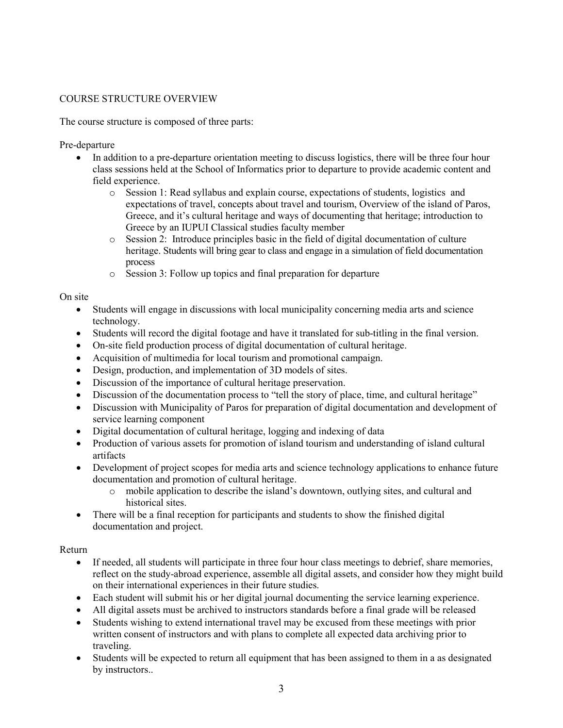# COURSE STRUCTURE OVERVIEW

The course structure is composed of three parts:

Pre-departure

- In addition to a pre-departure orientation meeting to discuss logistics, there will be three four hour class sessions held at the School of Informatics prior to departure to provide academic content and field experience.
	- o Session 1: Read syllabus and explain course, expectations of students, logistics and expectations of travel, concepts about travel and tourism, Overview of the island of Paros, Greece, and it's cultural heritage and ways of documenting that heritage; introduction to Greece by an IUPUI Classical studies faculty member
	- o Session 2: Introduce principles basic in the field of digital documentation of culture heritage. Students will bring gear to class and engage in a simulation of field documentation process
	- o Session 3: Follow up topics and final preparation for departure

On site

- Students will engage in discussions with local municipality concerning media arts and science technology.
- Students will record the digital footage and have it translated for sub-titling in the final version.
- On-site field production process of digital documentation of cultural heritage.
- Acquisition of multimedia for local tourism and promotional campaign.
- Design, production, and implementation of 3D models of sites.
- Discussion of the importance of cultural heritage preservation.
- Discussion of the documentation process to "tell the story of place, time, and cultural heritage"
- Discussion with Municipality of Paros for preparation of digital documentation and development of service learning component
- Digital documentation of cultural heritage, logging and indexing of data
- Production of various assets for promotion of island tourism and understanding of island cultural artifacts
- Development of project scopes for media arts and science technology applications to enhance future documentation and promotion of cultural heritage.
	- o mobile application to describe the island's downtown, outlying sites, and cultural and historical sites.
- There will be a final reception for participants and students to show the finished digital documentation and project.

## Return

- If needed, all students will participate in three four hour class meetings to debrief, share memories, reflect on the study-abroad experience, assemble all digital assets, and consider how they might build on their international experiences in their future studies.
- Each student will submit his or her digital journal documenting the service learning experience.
- All digital assets must be archived to instructors standards before a final grade will be released
- Students wishing to extend international travel may be excused from these meetings with prior written consent of instructors and with plans to complete all expected data archiving prior to traveling.
- Students will be expected to return all equipment that has been assigned to them in a as designated by instructors..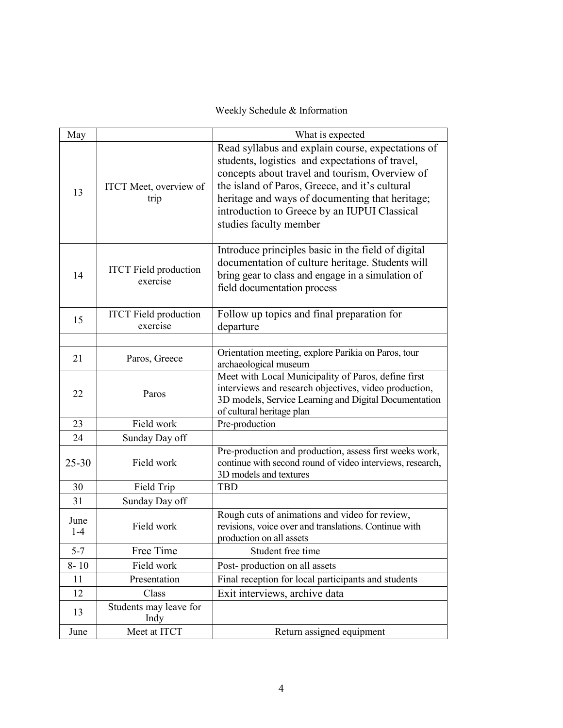Weekly Schedule & Information

| May           |                                          | What is expected                                                                                                                                                                                                                                                                                                                      |
|---------------|------------------------------------------|---------------------------------------------------------------------------------------------------------------------------------------------------------------------------------------------------------------------------------------------------------------------------------------------------------------------------------------|
| 13            | <b>ITCT</b> Meet, overview of<br>trip    | Read syllabus and explain course, expectations of<br>students, logistics and expectations of travel,<br>concepts about travel and tourism, Overview of<br>the island of Paros, Greece, and it's cultural<br>heritage and ways of documenting that heritage;<br>introduction to Greece by an IUPUI Classical<br>studies faculty member |
| 14            | <b>ITCT</b> Field production<br>exercise | Introduce principles basic in the field of digital<br>documentation of culture heritage. Students will<br>bring gear to class and engage in a simulation of<br>field documentation process                                                                                                                                            |
| 15            | <b>ITCT</b> Field production<br>exercise | Follow up topics and final preparation for<br>departure                                                                                                                                                                                                                                                                               |
|               |                                          |                                                                                                                                                                                                                                                                                                                                       |
| 21            | Paros, Greece                            | Orientation meeting, explore Parikia on Paros, tour<br>archaeological museum                                                                                                                                                                                                                                                          |
| 22            | Paros                                    | Meet with Local Municipality of Paros, define first<br>interviews and research objectives, video production,<br>3D models, Service Learning and Digital Documentation<br>of cultural heritage plan                                                                                                                                    |
| 23            | Field work                               | Pre-production                                                                                                                                                                                                                                                                                                                        |
| 24            | Sunday Day off                           |                                                                                                                                                                                                                                                                                                                                       |
| $25 - 30$     | Field work                               | Pre-production and production, assess first weeks work,<br>continue with second round of video interviews, research,<br>3D models and textures                                                                                                                                                                                        |
| 30            | Field Trip                               | <b>TBD</b>                                                                                                                                                                                                                                                                                                                            |
| 31            | Sunday Day off                           |                                                                                                                                                                                                                                                                                                                                       |
| June<br>$1-4$ | Field work                               | Rough cuts of animations and video for review,<br>revisions, voice over and translations. Continue with<br>production on all assets                                                                                                                                                                                                   |
| $5 - 7$       | Free Time                                | Student free time                                                                                                                                                                                                                                                                                                                     |
| $8 - 10$      | Field work                               | Post-production on all assets                                                                                                                                                                                                                                                                                                         |
| 11            | Presentation                             | Final reception for local participants and students                                                                                                                                                                                                                                                                                   |
| 12            | Class                                    | Exit interviews, archive data                                                                                                                                                                                                                                                                                                         |
| 13            | Students may leave for<br>Indy           |                                                                                                                                                                                                                                                                                                                                       |
| June          | Meet at ITCT                             | Return assigned equipment                                                                                                                                                                                                                                                                                                             |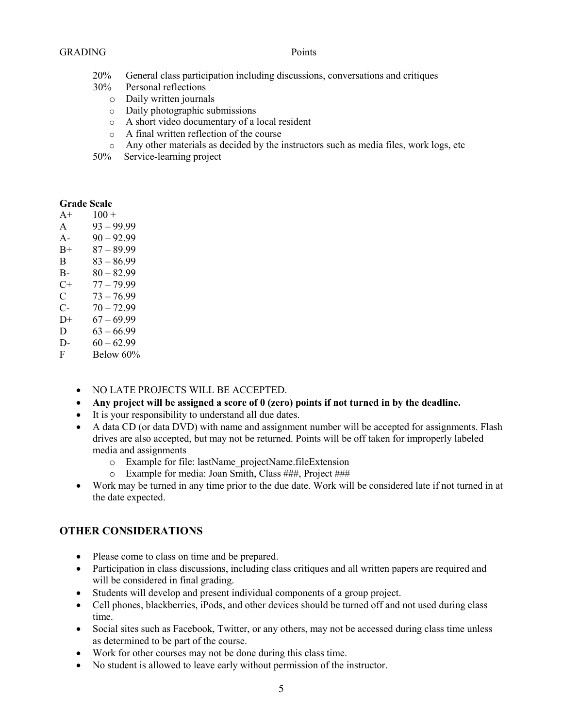#### GRADING Points

- 20% General class participation including discussions, conversations and critiques
- 30% Personal reflections
	- o Daily written journals
	- o Daily photographic submissions
	- o A short video documentary of a local resident
	- o A final written reflection of the course
	- $\circ$  Any other materials as decided by the instructors such as media files, work logs, etc
- 50% Service-learning project

# **Grade Scale**

| $A+$    | $100 +$                                  |
|---------|------------------------------------------|
| A       | $93 - 99.99$                             |
| $A -$   | $90 - 92.99$                             |
| $_{B+}$ | $87 - 89.99$                             |
| B.      | $83 - 86.99$                             |
| B-      | $80 - 82.99$                             |
| C+      | 77 – 79 99                               |
| C       | $73 - 76.99$                             |
| C-      | $70 - 7299$                              |
| $D+$    | $67 - 69.99$                             |
| D       | 63 – 66 99                               |
| D-      | $60 - 62.99$                             |
| ᠇       | $P_1$ $\sim$ $\sim$ $\sim$ $\sim$ $\sim$ |

- F Below 60%
	- NO LATE PROJECTS WILL BE ACCEPTED.
	- **Any project will be assigned a score of 0 (zero) points if not turned in by the deadline.**
	- It is your responsibility to understand all due dates.
	- A data CD (or data DVD) with name and assignment number will be accepted for assignments. Flash drives are also accepted, but may not be returned. Points will be off taken for improperly labeled media and assignments
		- o Example for file: lastName\_projectName.fileExtension
		- o Example for media: Joan Smith, Class ###, Project ###
	- Work may be turned in any time prior to the due date. Work will be considered late if not turned in at the date expected.

# **OTHER CONSIDERATIONS**

- Please come to class on time and be prepared.
- Participation in class discussions, including class critiques and all written papers are required and will be considered in final grading.
- Students will develop and present individual components of a group project.
- Cell phones, blackberries, iPods, and other devices should be turned off and not used during class time.
- Social sites such as Facebook, Twitter, or any others, may not be accessed during class time unless as determined to be part of the course.
- Work for other courses may not be done during this class time.
- No student is allowed to leave early without permission of the instructor.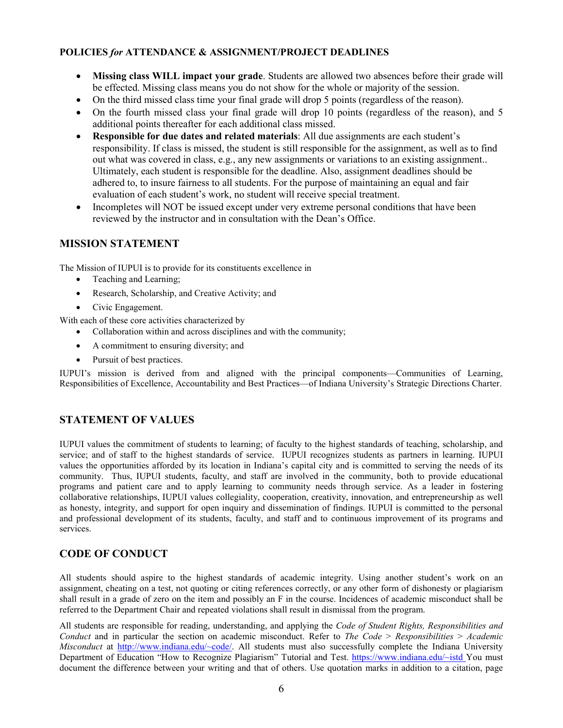## **POLICIES** *for* **ATTENDANCE & ASSIGNMENT/PROJECT DEADLINES**

- **Missing class WILL impact your grade**. Students are allowed two absences before their grade will be effected. Missing class means you do not show for the whole or majority of the session.
- On the third missed class time your final grade will drop 5 points (regardless of the reason).
- On the fourth missed class your final grade will drop 10 points (regardless of the reason), and 5 additional points thereafter for each additional class missed.
- **Responsible for due dates and related materials**: All due assignments are each student's responsibility. If class is missed, the student is still responsible for the assignment, as well as to find out what was covered in class, e.g., any new assignments or variations to an existing assignment.. Ultimately, each student is responsible for the deadline. Also, assignment deadlines should be adhered to, to insure fairness to all students. For the purpose of maintaining an equal and fair evaluation of each student's work, no student will receive special treatment.
- Incompletes will NOT be issued except under very extreme personal conditions that have been reviewed by the instructor and in consultation with the Dean's Office.

## **MISSION STATEMENT**

The Mission of IUPUI is to provide for its constituents excellence in

- Teaching and Learning;
- Research, Scholarship, and Creative Activity; and
- Civic Engagement.

With each of these core activities characterized by

- Collaboration within and across disciplines and with the community;
- A commitment to ensuring diversity; and
- Pursuit of best practices.

IUPUI's mission is derived from and aligned with the principal components—Communities of Learning, Responsibilities of Excellence, Accountability and Best Practices—of Indiana University's Strategic Directions Charter.

# **STATEMENT OF VALUES**

IUPUI values the commitment of students to learning; of faculty to the highest standards of teaching, scholarship, and service; and of staff to the highest standards of service. IUPUI recognizes students as partners in learning. IUPUI values the opportunities afforded by its location in Indiana's capital city and is committed to serving the needs of its community. Thus, IUPUI students, faculty, and staff are involved in the community, both to provide educational programs and patient care and to apply learning to community needs through service. As a leader in fostering collaborative relationships, IUPUI values collegiality, cooperation, creativity, innovation, and entrepreneurship as well as honesty, integrity, and support for open inquiry and dissemination of findings. IUPUI is committed to the personal and professional development of its students, faculty, and staff and to continuous improvement of its programs and services.

## **CODE OF CONDUCT**

All students should aspire to the highest standards of academic integrity. Using another student's work on an assignment, cheating on a test, not quoting or citing references correctly, or any other form of dishonesty or plagiarism shall result in a grade of zero on the item and possibly an F in the course. Incidences of academic misconduct shall be referred to the Department Chair and repeated violations shall result in dismissal from the program.

All students are responsible for reading, understanding, and applying the *Code of Student Rights, Responsibilities and Conduct* and in particular the section on academic misconduct. Refer to *The Code* > *Responsibilities* > *Academic Misconduct* at [http://www.indiana.edu/~code/.](http://www.indiana.edu/~code/) All students must also successfully complete the Indiana University Department of Education "How to Recognize Plagiarism" Tutorial and Test.<https://www.indiana.edu/~istd> You must document the difference between your writing and that of others. Use quotation marks in addition to a citation, page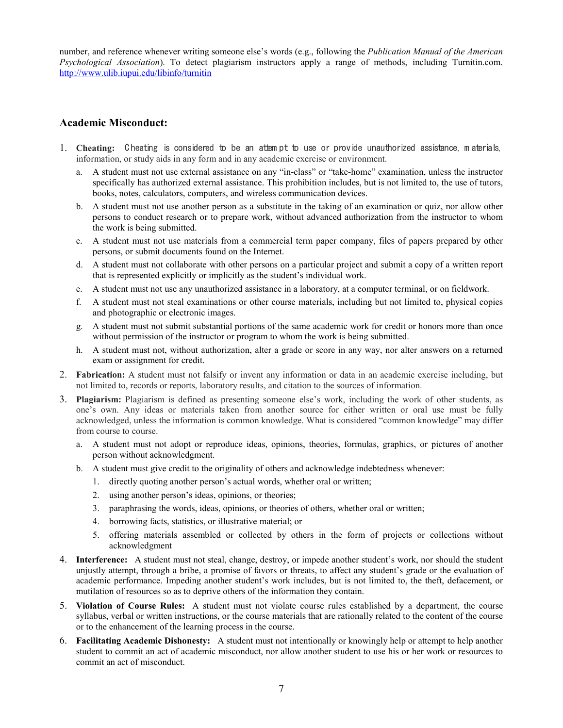number, and reference whenever writing someone else's words (e.g., following the *Publication Manual of the American Psychological Association*). To detect plagiarism instructors apply a range of methods, including Turnitin.com. <http://www.ulib.iupui.edu/libinfo/turnitin>

## **Academic Misconduct:**

- 1. **Cheating:** C heating is considered to be an attem pt to use or provide unauthorized assistance, m aterials, information, or study aids in any form and in any academic exercise or environment.
	- a. A student must not use external assistance on any "in-class" or "take-home" examination, unless the instructor specifically has authorized external assistance. This prohibition includes, but is not limited to, the use of tutors, books, notes, calculators, computers, and wireless communication devices.
	- b. A student must not use another person as a substitute in the taking of an examination or quiz, nor allow other persons to conduct research or to prepare work, without advanced authorization from the instructor to whom the work is being submitted.
	- c. A student must not use materials from a commercial term paper company, files of papers prepared by other persons, or submit documents found on the Internet.
	- d. A student must not collaborate with other persons on a particular project and submit a copy of a written report that is represented explicitly or implicitly as the student's individual work.
	- e. A student must not use any unauthorized assistance in a laboratory, at a computer terminal, or on fieldwork.
	- f. A student must not steal examinations or other course materials, including but not limited to, physical copies and photographic or electronic images.
	- g. A student must not submit substantial portions of the same academic work for credit or honors more than once without permission of the instructor or program to whom the work is being submitted.
	- h. A student must not, without authorization, alter a grade or score in any way, nor alter answers on a returned exam or assignment for credit.
- 2. **Fabrication:** A student must not falsify or invent any information or data in an academic exercise including, but not limited to, records or reports, laboratory results, and citation to the sources of information.
- 3. **Plagiarism:** Plagiarism is defined as presenting someone else's work, including the work of other students, as one's own. Any ideas or materials taken from another source for either written or oral use must be fully acknowledged, unless the information is common knowledge. What is considered "common knowledge" may differ from course to course.
	- a. A student must not adopt or reproduce ideas, opinions, theories, formulas, graphics, or pictures of another person without acknowledgment.
	- b. A student must give credit to the originality of others and acknowledge indebtedness whenever:
		- 1. directly quoting another person's actual words, whether oral or written;
		- 2. using another person's ideas, opinions, or theories;
		- 3. paraphrasing the words, ideas, opinions, or theories of others, whether oral or written;
		- 4. borrowing facts, statistics, or illustrative material; or
		- 5. offering materials assembled or collected by others in the form of projects or collections without acknowledgment
- 4. **Interference:** A student must not steal, change, destroy, or impede another student's work, nor should the student unjustly attempt, through a bribe, a promise of favors or threats, to affect any student's grade or the evaluation of academic performance. Impeding another student's work includes, but is not limited to, the theft, defacement, or mutilation of resources so as to deprive others of the information they contain.
- 5. **Violation of Course Rules:** A student must not violate course rules established by a department, the course syllabus, verbal or written instructions, or the course materials that are rationally related to the content of the course or to the enhancement of the learning process in the course.
- 6. **Facilitating Academic Dishonesty:** A student must not intentionally or knowingly help or attempt to help another student to commit an act of academic misconduct, nor allow another student to use his or her work or resources to commit an act of misconduct.